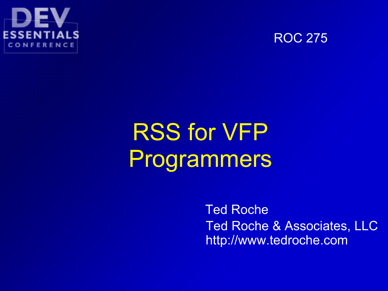



## RSS for VFP Programmers

Ted Roche Ted Roche & Associates, LLC http://www.tedroche.com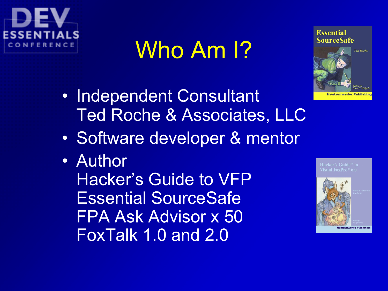

## Who Am I?



- Independent Consultant Ted Roche & Associates, LLC
- Software developer & mentor
- Author

Hacker's Guide to VFP Essential SourceSafe FPA Ask Advisor x 50 FoxTalk 1.0 and 2.0



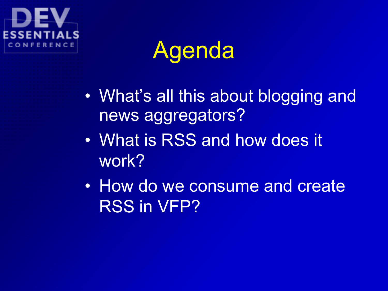## Agenda

- What's all this about blogging and news aggregators?
- What is RSS and how does it work?
- How do we consume and create RSS in VFP?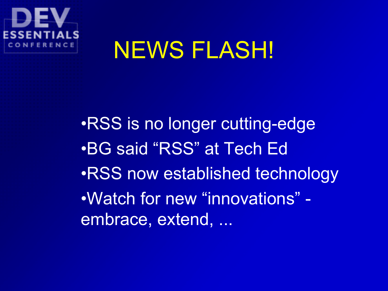

## NEWS FLASH!

•RSS is no longer cutting-edge •BG said "RSS" at Tech Ed •RSS now established technology •Watch for new "innovations" embrace, extend, ...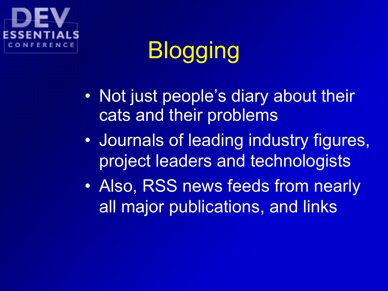# **Blogging**

- Not just people's diary about their cats and their problems
- Journals of leading industry figures, project leaders and technologists
- Also, RSS news feeds from nearly all major publications, and links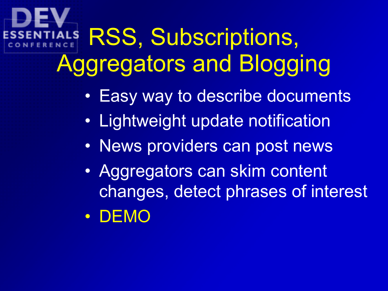# RSS, Subscriptions, Aggregators and Blogging

- Easy way to describe documents
- Lightweight update notification
- News providers can post news
- Aggregators can skim content changes, detect phrases of interest
- DEMO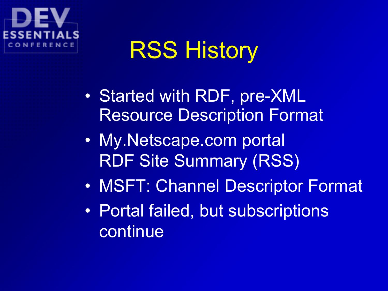## RSS History

- Started with RDF, pre-XML Resource Description Format
- My.Netscape.com portal RDF Site Summary (RSS)
- MSFT: Channel Descriptor Format
- Portal failed, but subscriptions continue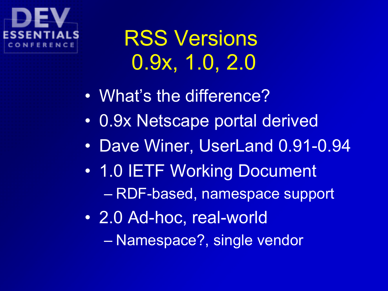## RSS Versions 0.9x, 1.0, 2.0

- What's the difference?
- 0.9x Netscape portal derived
- Dave Winer, UserLand 0.91-0.94
- 1.0 IETF Working Document – RDF-based, namespace support
- 2.0 Ad-hoc, real-world – Namespace?, single vendor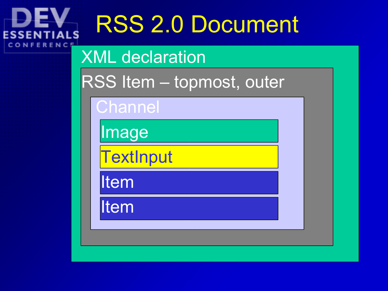# RSS 2.0 Document

### XML declaration

RSS Item – topmost, outer

**Channel** 

ES

Image

**TextInput** 

Item

Item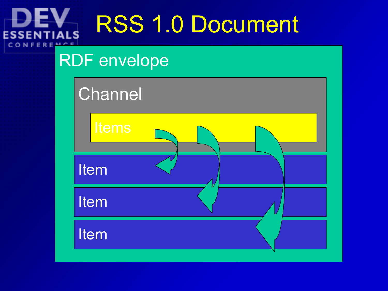# RSS 1.0 Document

### RDF envelope

**ESSE** 

CONFE

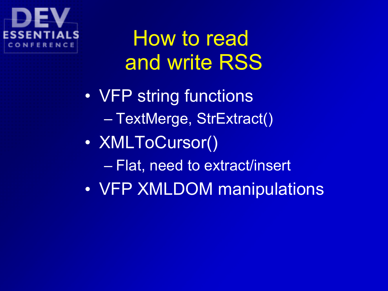## How to read and write RSS

• VFP string functions – TextMerge, StrExtract() • XMLToCursor() – Flat, need to extract/insert • VFP XMLDOM manipulations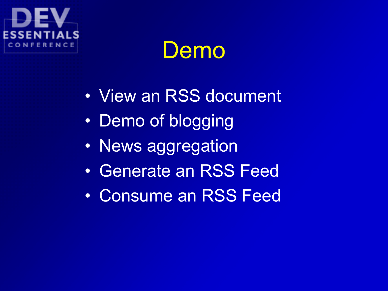## Demo

- View an RSS document
- Demo of blogging
- News aggregation
- Generate an RSS Feed
- Consume an RSS Feed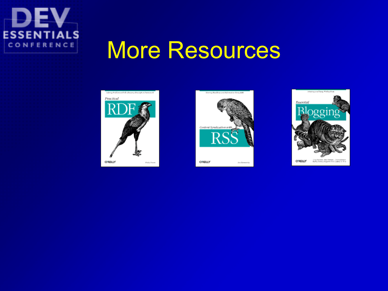

## More Resources





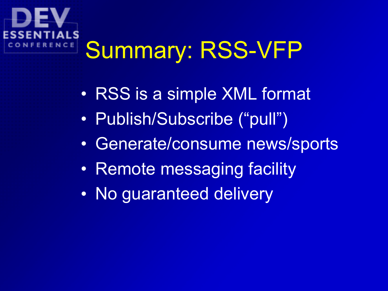## Summary: RSS-VFP ENCE

- RSS is a simple XML format
- Publish/Subscribe ("pull")
- Generate/consume news/sports
- Remote messaging facility
- No guaranteed delivery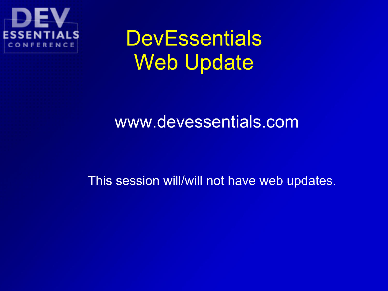

## **DevEssentials** Web Update

### www.devessentials.com

This session will/will not have web updates.